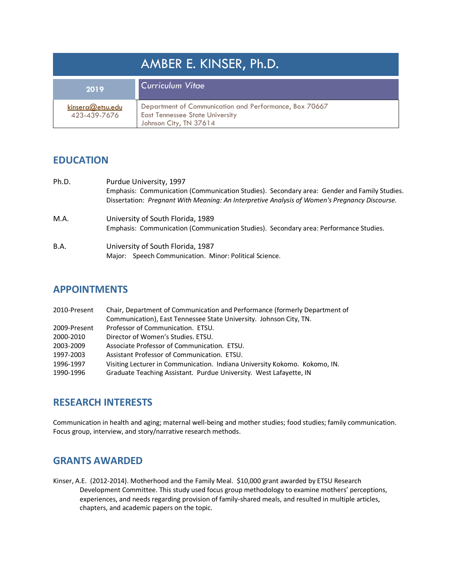| AMBER E. KINSER, Ph.D.           |                                                                                                                            |  |
|----------------------------------|----------------------------------------------------------------------------------------------------------------------------|--|
| 2019                             | <b>Curriculum Vitae</b>                                                                                                    |  |
| kinsera@etsu.edu<br>423-439-7676 | Department of Communication and Performance, Box 70667<br><b>East Tennessee State University</b><br>Johnson City, TN 37614 |  |

## **EDUCATION**

| Ph.D. | Purdue University, 1997<br>Emphasis: Communication (Communication Studies). Secondary area: Gender and Family Studies.<br>Dissertation: Pregnant With Meaning: An Interpretive Analysis of Women's Pregnancy Discourse. |
|-------|-------------------------------------------------------------------------------------------------------------------------------------------------------------------------------------------------------------------------|
| M.A.  | University of South Florida, 1989<br>Emphasis: Communication (Communication Studies). Secondary area: Performance Studies.                                                                                              |
| B.A.  | University of South Florida, 1987<br>Major: Speech Communication. Minor: Political Science.                                                                                                                             |

### **APPOINTMENTS**

| 2010-Present | Chair, Department of Communication and Performance (formerly Department of |
|--------------|----------------------------------------------------------------------------|
|              | Communication), East Tennessee State University. Johnson City, TN.         |
| 2009-Present | Professor of Communication. ETSU.                                          |
| 2000-2010    | Director of Women's Studies. ETSU.                                         |
| 2003-2009    | Associate Professor of Communication. ETSU.                                |
| 1997-2003    | Assistant Professor of Communication. ETSU.                                |
| 1996-1997    | Visiting Lecturer in Communication. Indiana University Kokomo. Kokomo, IN. |
| 1990-1996    | Graduate Teaching Assistant. Purdue University. West Lafayette, IN         |
|              |                                                                            |

## **RESEARCH INTERESTS**

Communication in health and aging; maternal well-being and mother studies; food studies; family communication. Focus group, interview, and story/narrative research methods.

## **GRANTS AWARDED**

Kinser, A.E. (2012-2014). Motherhood and the Family Meal. \$10,000 grant awarded by ETSU Research Development Committee. This study used focus group methodology to examine mothers' perceptions, experiences, and needs regarding provision of family-shared meals, and resulted in multiple articles, chapters, and academic papers on the topic.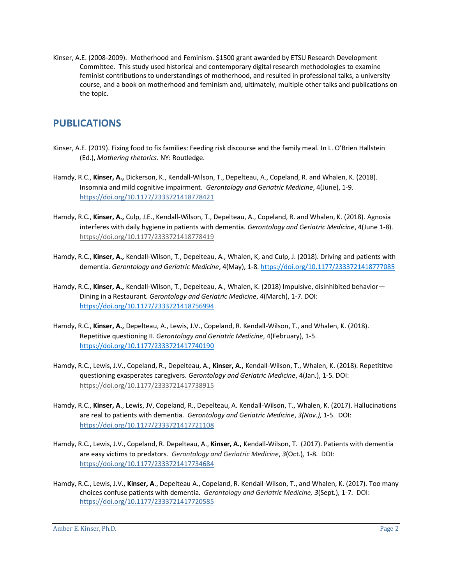Kinser, A.E. (2008-2009). Motherhood and Feminism. \$1500 grant awarded by ETSU Research Development Committee. This study used historical and contemporary digital research methodologies to examine feminist contributions to understandings of motherhood, and resulted in professional talks, a university course, and a book on motherhood and feminism and, ultimately, multiple other talks and publications on the topic.

# **PUBLICATIONS**

- Kinser, A.E. (2019). Fixing food to fix families: Feeding risk discourse and the family meal. In L. O'Brien Hallstein (Ed.), *Mothering rhetorics*. NY: Routledge.
- Hamdy, R.C., **Kinser, A.,** Dickerson, K., Kendall-Wilson, T., Depelteau, A., Copeland, R. and Whalen, K. (2018). Insomnia and mild cognitive impairment. *Gerontology and Geriatric Medicine*, 4(June), 1-9. [https://doi.org/10.1177/2333721418778421](https://doi.org/10.1177%2F2333721418778421)
- Hamdy, R.C., **Kinser, A.,** Culp, J.E., Kendall-Wilson, T., Depelteau, A., Copeland, R. and Whalen, K. (2018). Agnosia interferes with daily hygiene in patients with dementia. *Gerontology and Geriatric Medicine*, 4(June 1-8). <https://doi.org/10.1177/2333721418778419>
- Hamdy, R.C., **Kinser, A.,** Kendall-Wilson, T., Depelteau, A., Whalen, K, and Culp, J. (2018). Driving and patients with dementia. *Gerontology and Geriatric Medicine*, 4(May), 1-8. [https://doi.org/10.1177/2333721418777085](https://doi.org/10.1177%2F2333721418777085)
- Hamdy, R.C., **Kinser, A.,** Kendall-Wilson, T., Depelteau, A., Whalen, K. (2018) Impulsive, disinhibited behavior— Dining in a Restaurant. *Gerontology and Geriatric Medicine*, *4*(March), 1-7. DOI: <https://doi.org/10.1177/2333721418756994>
- Hamdy, R.C., **Kinser, A.,** Depelteau, A., Lewis, J.V., Copeland, R. Kendall-Wilson, T., and Whalen, K. (2018). Repetitive questioning II. *Gerontology and Geriatric Medicine*, 4(February), 1-5. [https://doi.org/10.1177/2333721417740190](https://doi.org/10.1177%2F2333721417740190)
- Hamdy, R.C., Lewis, J.V., Copeland, R., Depelteau, A., **Kinser, A.,** Kendall-Wilson, T., Whalen, K. (2018). Repetititve questioning exasperates caregivers. *Gerontology and Geriatric Medicine*, 4(Jan.), 1-5. DOI: <https://doi.org/10.1177/2333721417738915>
- Hamdy, R.C., **Kinser, A**., Lewis, JV, Copeland, R., Depelteau, A. Kendall-Wilson, T., Whalen, K. (2017). Hallucinations are real to patients with dementia. *Gerontology and Geriatric Medicine*, *3(Nov.),* 1-5. DOI: [https://doi.org/10.1177/2333721417721108](https://doi.org/10.1177%2F2333721417721108)
- Hamdy, R.C., Lewis, J.V., Copeland, R. Depelteau, A., **Kinser, A.,** Kendall-Wilson, T. (2017). Patients with dementia are easy victims to predators. *Gerontology and Geriatric Medicine*, *3*(Oct.)*,* 1-8. DOI: [https://doi.org/10.1177/2333721417734684](https://doi.org/10.1177%2F2333721417734684)
- Hamdy, R.C., Lewis, J.V., **Kinser, A**., Depelteau A., Copeland, R. Kendall-Wilson, T., and Whalen, K. (2017). Too many choices confuse patients with dementia. *Gerontology and Geriatric Medicine, 3*(Sept.)*,* 1-7. DOI: [https://doi.org/10.1177/2333721417720585](https://doi.org/10.1177%2F2333721417720585)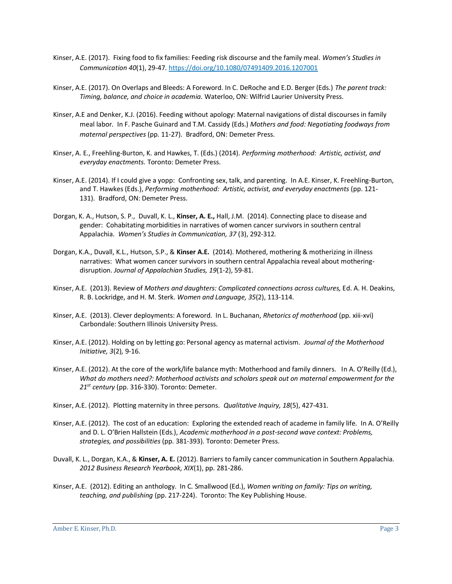- Kinser, A.E. (2017). Fixing food to fix families: Feeding risk discourse and the family meal. *Women's Studies in Communication 40*(1), 29-47*.* <https://doi.org/10.1080/07491409.2016.1207001>
- Kinser, A.E. (2017). On Overlaps and Bleeds: A Foreword. In C. DeRoche and E.D. Berger (Eds.) *The parent track: Timing, balance, and choice in academia.* Waterloo, ON: Wilfrid Laurier University Press.
- Kinser, A.E and Denker, K.J. (2016). Feeding without apology: Maternal navigations of distal discourses in family meal labor. In F. Pasche Guinard and T.M. Cassidy (Eds.) *Mothers and food: Negotiating foodways from maternal perspectives* (pp. 11-27). Bradford, ON: Demeter Press.
- Kinser, A. E., Freehling-Burton, K. and Hawkes, T. (Eds.) (2014). *Performing motherhood: Artistic, activist, and everyday enactments.* Toronto: Demeter Press.
- Kinser, A.E. (2014). If I could give a yopp: Confronting sex, talk, and parenting. In A.E. Kinser, K. Freehling-Burton, and T. Hawkes (Eds.), *Performing motherhood: Artistic, activist, and everyday enactments* (pp. 121- 131). Bradford, ON: Demeter Press.
- Dorgan, K. A., Hutson, S. P., Duvall, K. L., **Kinser, A. E.,** Hall, J.M. (2014). Connecting place to disease and gender: Cohabitating morbidities in narratives of women cancer survivors in southern central Appalachia. *Women's Studies in Communication, 37* (3), 292-312*.*
- Dorgan, K.A., Duvall, K.L., Hutson, S.P., & **Kinser A.E.** (2014). Mothered, mothering & motherizing in illness narratives: What women cancer survivors in southern central Appalachia reveal about motheringdisruption. *Journal of Appalachian Studies, 19*(1-2), 59-81.
- Kinser, A.E. (2013). Review of *Mothers and daughters: Complicated connections across cultures,* Ed. A. H. Deakins, R. B. Lockridge, and H. M. Sterk. *Women and Language, 35*(2), 113-114.
- Kinser, A.E. (2013). Clever deployments: A foreword. In L. Buchanan, *Rhetorics of motherhood* (pp. xiii-xvi) Carbondale: Southern Illinois University Press.
- Kinser, A.E. (2012). Holding on by letting go: Personal agency as maternal activism. *Journal of the Motherhood Initiative, 3*(2)*,* 9-16.
- Kinser, A.E. (2012). At the core of the work/life balance myth: Motherhood and family dinners. In A. O'Reilly (Ed.), *What do mothers need?: Motherhood activists and scholars speak out on maternal empowerment for the 21st century* (pp. 316-330). Toronto: Demeter.
- Kinser, A.E. (2012). Plotting maternity in three persons. *Qualitative Inquiry, 18*(5), 427-431.
- Kinser, A.E. (2012). The cost of an education: Exploring the extended reach of academe in family life. In A. O'Reilly and D. L. O'Brien Hallstein (Eds.), *Academic motherhood in a post-second wave context: Problems, strategies, and possibilities* (pp. 381-393). Toronto: Demeter Press.
- Duvall, K. L., Dorgan, K.A., & **Kinser, A. E.** (2012). Barriers to family cancer communication in Southern Appalachia. *2012 Business Research Yearbook, XIX*(1), pp. 281-286.
- Kinser, A.E. (2012). Editing an anthology. In C. Smallwood (Ed.), *Women writing on family: Tips on writing, teaching, and publishing* (pp. 217-224). Toronto: The Key Publishing House.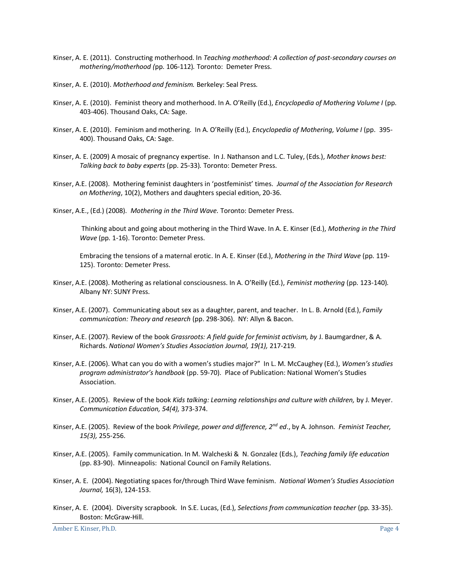- Kinser, A. E. (2011). Constructing motherhood. In *Teaching motherhood: A collection of post-secondary courses on mothering/motherhood (*pp. 106-112)*.* Toronto: Demeter Press.
- Kinser, A. E. (2010). *Motherhood and feminism.* Berkeley: Seal Press*.*
- Kinser, A. E. (2010). Feminist theory and motherhood. In A. O'Reilly (Ed.), *Encyclopedia of Mothering Volume I* (pp. 403-406). Thousand Oaks, CA: Sage.
- Kinser, A. E. (2010). Feminism and mothering. In A. O'Reilly (Ed.), *Encyclopedia of Mothering, Volume I* (pp. 395- 400). Thousand Oaks, CA: Sage.
- Kinser, A. E. (2009) A mosaic of pregnancy expertise. In J. Nathanson and L.C. Tuley, (Eds.), *Mother knows best: Talking back to baby experts* (pp. 25-33)*.* Toronto: Demeter Press.
- Kinser, A.E. (2008). Mothering feminist daughters in 'postfeminist' times. *Journal of the Association for Research on Mothering*, 10(2), Mothers and daughters special edition, 20-36.
- Kinser, A.E., (Ed.) (2008). *Mothering in the Third Wave.* Toronto: Demeter Press.

Thinking about and going about mothering in the Third Wave. In A. E. Kinser (Ed.), *Mothering in the Third Wave* (pp. 1-16). Toronto: Demeter Press.

Embracing the tensions of a maternal erotic. In A. E. Kinser (Ed.), *Mothering in the Third Wave* (pp. 119- 125). Toronto: Demeter Press.

- Kinser, A.E. (2008). Mothering as relational consciousness. In A. O'Reilly (Ed.), *Feminist mothering* (pp. 123-140)*.* Albany NY: SUNY Press.
- Kinser, A.E. (2007). Communicating about sex as a daughter, parent, and teacher. In L. B. Arnold (Ed.), *Family communication: Theory and research* (pp. 298-306).NY: Allyn & Bacon.
- Kinser, A.E. (2007). Review of the book *Grassroots: A field guide for feminist activism, by* J. Baumgardner, & A. Richards. *National Women's Studies Association Journal, 19(1),* 217-219*.*
- Kinser, A.E. (2006). What can you do with a women's studies major?" In L. M. McCaughey (Ed.), *Women's studies program administrator's handbook* (pp. 59-70). Place of Publication: National Women's Studies Association.
- Kinser, A.E. (2005). Review of the book *Kids talking: Learning relationships and culture with children,* by J. Meyer. *Communication Education, 54(4),* 373-374.
- Kinser, A.E. (2005). Review of the book *Privilege, power and difference, 2nd ed*., by A. Johnson. *Feminist Teacher, 15(3),* 255-256.
- Kinser, A.E. (2005). Family communication. In M. Walcheski & N. Gonzalez (Eds.), *Teaching family life education*  (pp. 83-90). Minneapolis: National Council on Family Relations.
- Kinser, A. E. (2004). Negotiating spaces for/through Third Wave feminism. *National Women's Studies Association Journal,* 16(3), 124-153.
- Kinser, A. E. (2004). Diversity scrapbook. In S.E. Lucas, (Ed.), *Selections from communication teacher* (pp. 33-35). Boston: McGraw-Hill.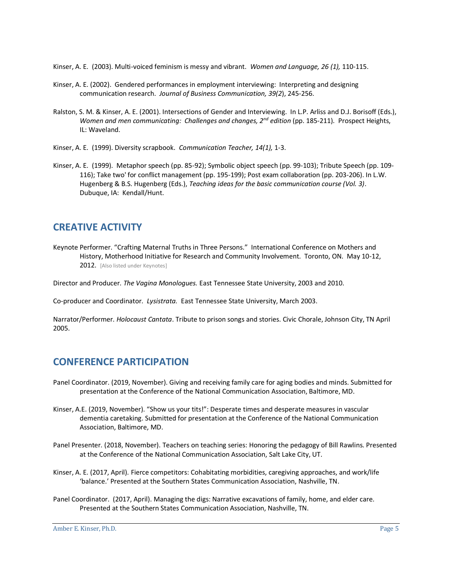Kinser, A. E. (2003). Multi-voiced feminism is messy and vibrant. *Women and Language, 26 (1),* 110-115.

- Kinser, A. E. (2002). Gendered performances in employment interviewing: Interpreting and designing communication research. *Journal of Business Communication, 39(2*), 245-256.
- Ralston, S. M. & Kinser, A. E. (2001). Intersections of Gender and Interviewing. In L.P. Arliss and D.J. Borisoff (Eds.), *Women and men communicating: Challenges and changes, 2nd edition* (pp. 185-211)*.* Prospect Heights, IL: Waveland.
- Kinser, A. E. (1999). Diversity scrapbook. *Communication Teacher, 14(1),* 1-3.
- Kinser, A. E. (1999). Metaphor speech (pp. 85-92); Symbolic object speech (pp. 99-103); Tribute Speech (pp. 109- 116); Take two' for conflict management (pp. 195-199); Post exam collaboration (pp. 203-206). In L.W. Hugenberg & B.S. Hugenberg (Eds.), *Teaching ideas for the basic communication course (Vol. 3)*. Dubuque, IA: Kendall/Hunt.

## **CREATIVE ACTIVITY**

Keynote Performer. "Crafting Maternal Truths in Three Persons." International Conference on Mothers and History, Motherhood Initiative for Research and Community Involvement. Toronto, ON. May 10-12, 2012. [Also listed under Keynotes]

Director and Producer. *The Vagina Monologues.* East Tennessee State University, 2003 and 2010.

Co-producer and Coordinator. *Lysistrata.* East Tennessee State University, March 2003.

Narrator/Performer. *Holocaust Cantata*. Tribute to prison songs and stories. Civic Chorale, Johnson City, TN April 2005.

## **CONFERENCE PARTICIPATION**

- Panel Coordinator. (2019, November). Giving and receiving family care for aging bodies and minds. Submitted for presentation at the Conference of the National Communication Association, Baltimore, MD.
- Kinser, A.E. (2019, November). "Show us your tits!": Desperate times and desperate measures in vascular dementia caretaking. Submitted for presentation at the Conference of the National Communication Association, Baltimore, MD.
- Panel Presenter. (2018, November). Teachers on teaching series: Honoring the pedagogy of Bill Rawlins. Presented at the Conference of the National Communication Association, Salt Lake City, UT.
- Kinser, A. E. (2017, April). Fierce competitors: Cohabitating morbidities, caregiving approaches, and work/life 'balance.' Presented at the Southern States Communication Association, Nashville, TN.
- Panel Coordinator. (2017, April). Managing the digs: Narrative excavations of family, home, and elder care. Presented at the Southern States Communication Association, Nashville, TN.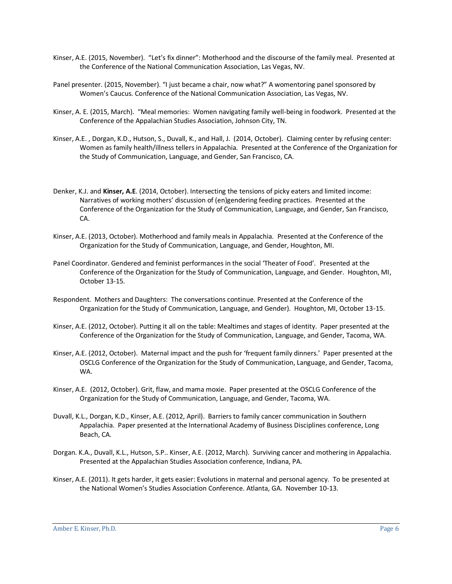- Kinser, A.E. (2015, November). "Let's fix dinner": Motherhood and the discourse of the family meal. Presented at the Conference of the National Communication Association, Las Vegas, NV.
- Panel presenter. (2015, November). "I just became a chair, now what?" A womentoring panel sponsored by Women's Caucus. Conference of the National Communication Association, Las Vegas, NV.
- Kinser, A. E. (2015, March). "Meal memories: Women navigating family well-being in foodwork. Presented at the Conference of the Appalachian Studies Association, Johnson City, TN.
- Kinser, A.E. , Dorgan, K.D., Hutson, S., Duvall, K., and Hall, J. (2014, October). Claiming center by refusing center: Women as family health/illness tellers in Appalachia. Presented at the Conference of the Organization for the Study of Communication, Language, and Gender, San Francisco, CA.
- Denker, K.J. and **Kinser, A.E**. (2014, October). Intersecting the tensions of picky eaters and limited income: Narratives of working mothers' discussion of (en)gendering feeding practices. Presented at the Conference of the Organization for the Study of Communication, Language, and Gender, San Francisco, CA.
- Kinser, A.E. (2013, October). Motherhood and family meals in Appalachia. Presented at the Conference of the Organization for the Study of Communication, Language, and Gender, Houghton, MI.
- Panel Coordinator. Gendered and feminist performances in the social 'Theater of Food'. Presented at the Conference of the Organization for the Study of Communication, Language, and Gender. Houghton, MI, October 13-15.
- Respondent. Mothers and Daughters: The conversations continue. Presented at the Conference of the Organization for the Study of Communication, Language, and Gender). Houghton, MI, October 13-15.
- Kinser, A.E. (2012, October). Putting it all on the table: Mealtimes and stages of identity. Paper presented at the Conference of the Organization for the Study of Communication, Language, and Gender, Tacoma, WA.
- Kinser, A.E. (2012, October). Maternal impact and the push for 'frequent family dinners.' Paper presented at the OSCLG Conference of the Organization for the Study of Communication, Language, and Gender, Tacoma, WA.
- Kinser, A.E. (2012, October). Grit, flaw, and mama moxie. Paper presented at the OSCLG Conference of the Organization for the Study of Communication, Language, and Gender, Tacoma, WA.
- Duvall, K.L., Dorgan, K.D., Kinser, A.E. (2012, April). Barriers to family cancer communication in Southern Appalachia. Paper presented at the International Academy of Business Disciplines conference, Long Beach, CA.
- Dorgan. K.A., Duvall, K.L., Hutson, S.P.. Kinser, A.E. (2012, March). Surviving cancer and mothering in Appalachia. Presented at the Appalachian Studies Association conference, Indiana, PA.
- Kinser, A.E. (2011). It gets harder, it gets easier: Evolutions in maternal and personal agency. To be presented at the National Women's Studies Association Conference. Atlanta, GA. November 10-13.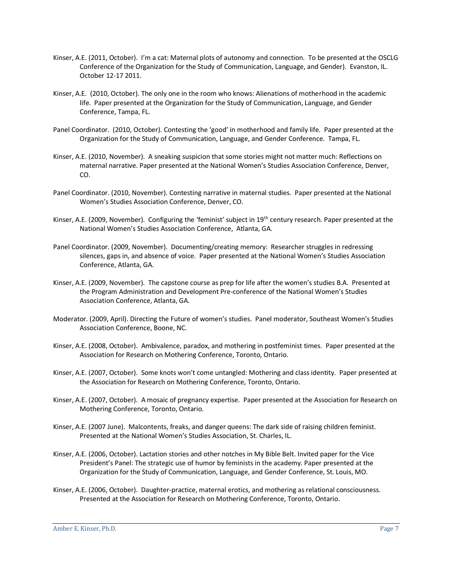- Kinser, A.E. (2011, October). I'm a cat: Maternal plots of autonomy and connection.To be presented at the OSCLG Conference of the Organization for the Study of Communication, Language, and Gender). Evanston, IL. October 12-17 2011.
- Kinser, A.E. (2010, October). The only one in the room who knows: Alienations of motherhood in the academic life. Paper presented at the Organization for the Study of Communication, Language, and Gender Conference, Tampa, FL.
- Panel Coordinator. (2010, October). Contesting the 'good' in motherhood and family life. Paper presented at the Organization for the Study of Communication, Language, and Gender Conference. Tampa, FL.
- Kinser, A.E. (2010, November). A sneaking suspicion that some stories might not matter much: Reflections on maternal narrative. Paper presented at the National Women's Studies Association Conference, Denver, CO.
- Panel Coordinator. (2010, November). Contesting narrative in maternal studies. Paper presented at the National Women's Studies Association Conference, Denver, CO.
- Kinser, A.E. (2009, November). Configuring the 'feminist' subject in 19<sup>th</sup> century research. Paper presented at the National Women's Studies Association Conference, Atlanta, GA.
- Panel Coordinator. (2009, November). Documenting/creating memory: Researcher struggles in redressing silences, gaps in, and absence of voice.Paper presented at the National Women's Studies Association Conference, Atlanta, GA.
- Kinser, A.E. (2009, November). The capstone course as prep for life after the women's studies B.A. Presented at the Program Administration and Development Pre-conference of the National Women's Studies Association Conference, Atlanta, GA.
- Moderator. (2009, April). Directing the Future of women's studies. Panel moderator, Southeast Women's Studies Association Conference, Boone, NC.
- Kinser, A.E. (2008, October). Ambivalence, paradox, and mothering in postfeminist times. Paper presented at the Association for Research on Mothering Conference, Toronto, Ontario.
- Kinser, A.E. (2007, October). Some knots won't come untangled: Mothering and class identity. Paper presented at the Association for Research on Mothering Conference, Toronto, Ontario.
- Kinser, A.E. (2007, October). A mosaic of pregnancy expertise. Paper presented at the Association for Research on Mothering Conference, Toronto, Ontario.
- Kinser, A.E. (2007 June). Malcontents, freaks, and danger queens: The dark side of raising children feminist. Presented at the National Women's Studies Association, St. Charles, IL.
- Kinser, A.E. (2006, October). Lactation stories and other notches in My Bible Belt. Invited paper for the Vice President's Panel: The strategic use of humor by feminists in the academy. Paper presented at the Organization for the Study of Communication, Language, and Gender Conference, St. Louis, MO.
- Kinser, A.E. (2006, October). Daughter-practice, maternal erotics, and mothering as relational consciousness. Presented at the Association for Research on Mothering Conference, Toronto, Ontario.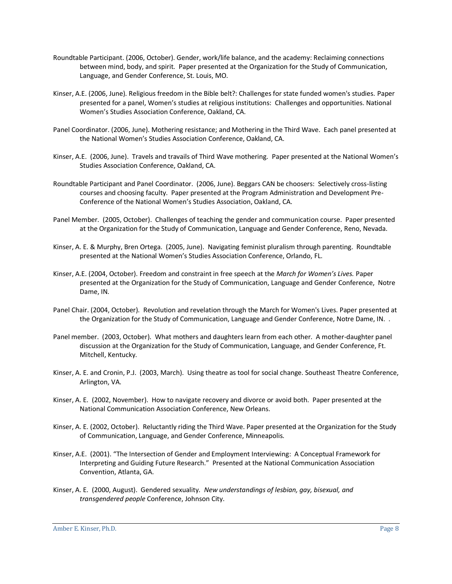- Roundtable Participant. (2006, October). Gender, work/life balance, and the academy: Reclaiming connections between mind, body, and spirit. Paper presented at the Organization for the Study of Communication, Language, and Gender Conference, St. Louis, MO.
- Kinser, A.E. (2006, June). Religious freedom in the Bible belt?: Challenges for state funded women's studies. Paper presented for a panel, Women's studies at religious institutions: Challenges and opportunities. National Women's Studies Association Conference, Oakland, CA.
- Panel Coordinator. (2006, June). Mothering resistance; and Mothering in the Third Wave. Each panel presented at the National Women's Studies Association Conference, Oakland, CA.
- Kinser, A.E. (2006, June). Travels and travails of Third Wave mothering. Paper presented at the National Women's Studies Association Conference, Oakland, CA.
- Roundtable Participant and Panel Coordinator. (2006, June). Beggars CAN be choosers: Selectively cross-listing courses and choosing faculty. Paper presented at the Program Administration and Development Pre-Conference of the National Women's Studies Association, Oakland, CA.
- Panel Member. (2005, October). Challenges of teaching the gender and communication course. Paper presented at the Organization for the Study of Communication, Language and Gender Conference, Reno, Nevada.
- Kinser, A. E. & Murphy, Bren Ortega. (2005, June). Navigating feminist pluralism through parenting. Roundtable presented at the National Women's Studies Association Conference, Orlando, FL.
- Kinser, A.E. (2004, October). Freedom and constraint in free speech at the *March for Women's Lives.* Paper presented at the Organization for the Study of Communication, Language and Gender Conference, Notre Dame, IN.
- Panel Chair. (2004, October). Revolution and revelation through the March for Women's Lives. Paper presented at the Organization for the Study of Communication, Language and Gender Conference, Notre Dame, IN. .
- Panel member. (2003, October). What mothers and daughters learn from each other. A mother-daughter panel discussion at the Organization for the Study of Communication, Language, and Gender Conference, Ft. Mitchell, Kentucky.
- Kinser, A. E. and Cronin, P.J. (2003, March). Using theatre as tool for social change. Southeast Theatre Conference, Arlington, VA.
- Kinser, A. E. (2002, November). How to navigate recovery and divorce or avoid both. Paper presented at the National Communication Association Conference, New Orleans.
- Kinser, A. E. (2002, October). Reluctantly riding the Third Wave. Paper presented at the Organization for the Study of Communication, Language, and Gender Conference, Minneapolis.
- Kinser, A.E. (2001). "The Intersection of Gender and Employment Interviewing: A Conceptual Framework for Interpreting and Guiding Future Research." Presented at the National Communication Association Convention, Atlanta, GA.
- Kinser, A. E. (2000, August). Gendered sexuality. *New understandings of lesbian, gay, bisexual, and transgendered people* Conference, Johnson City.

Amber E. Kinser, Ph.D. Page 8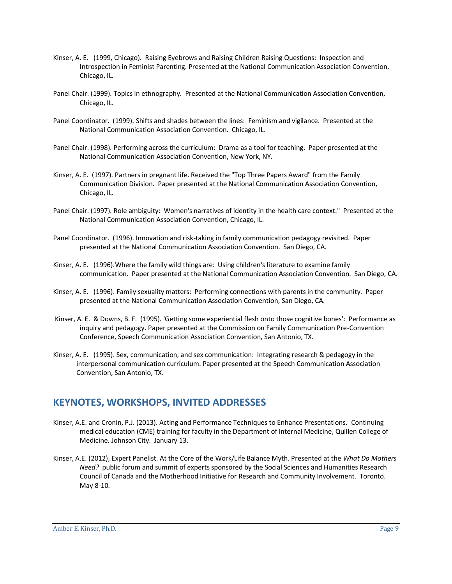- Kinser, A. E. (1999, Chicago). Raising Eyebrows and Raising Children Raising Questions: Inspection and Introspection in Feminist Parenting. Presented at the National Communication Association Convention, Chicago, IL.
- Panel Chair. (1999). Topics in ethnography. Presented at the National Communication Association Convention, Chicago, IL.
- Panel Coordinator. (1999). Shifts and shades between the lines: Feminism and vigilance. Presented at the National Communication Association Convention. Chicago, IL.
- Panel Chair. (1998). Performing across the curriculum: Drama as a tool for teaching. Paper presented at the National Communication Association Convention, New York, NY.
- Kinser, A. E. (1997). Partners in pregnant life. Received the "Top Three Papers Award" from the Family Communication Division. Paper presented at the National Communication Association Convention, Chicago, IL.
- Panel Chair. (1997). Role ambiguity: Women's narratives of identity in the health care context." Presented at the National Communication Association Convention, Chicago, IL.
- Panel Coordinator. (1996). Innovation and risk-taking in family communication pedagogy revisited. Paper presented at the National Communication Association Convention. San Diego, CA.
- Kinser, A. E. (1996).Where the family wild things are: Using children's literature to examine family communication. Paper presented at the National Communication Association Convention. San Diego, CA.
- Kinser, A. E. (1996). Family sexuality matters: Performing connections with parents in the community. Paper presented at the National Communication Association Convention, San Diego, CA.
- Kinser, A. E. & Downs, B. F. (1995). 'Getting some experiential flesh onto those cognitive bones': Performance as inquiry and pedagogy. Paper presented at the Commission on Family Communication Pre-Convention Conference, Speech Communication Association Convention, San Antonio, TX.
- Kinser, A. E. (1995). Sex, communication, and sex communication: Integrating research & pedagogy in the interpersonal communication curriculum. Paper presented at the Speech Communication Association Convention, San Antonio, TX.

#### **KEYNOTES, WORKSHOPS, INVITED ADDRESSES**

- Kinser, A.E. and Cronin, P.J. (2013). Acting and Performance Techniques to Enhance Presentations. Continuing medical education (CME) training for faculty in the Department of Internal Medicine, Quillen College of Medicine. Johnson City. January 13.
- Kinser, A.E. (2012), Expert Panelist. At the Core of the Work/Life Balance Myth. Presented at the *What Do Mothers Need?* public forum and summit of experts sponsored by the Social Sciences and Humanities Research Council of Canada and the Motherhood Initiative for Research and Community Involvement. Toronto. May 8-10.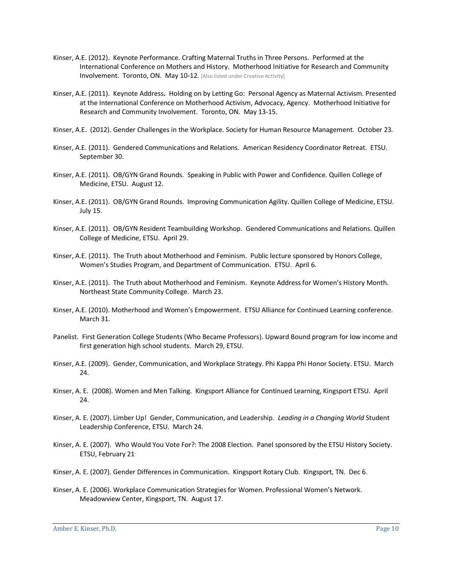- Kinser, A.E. (2012). Keynote Performance. Crafting Maternal Truths in Three Persons. Performed at the International Conference on Mothers and History. Motherhood Initiative for Research and Community **Involvement. Toronto, ON. May 10-12.** [Also listed under Creative Activity]
- Kinser, A.E. (2011). Keynote Address**.** Holding on by Letting Go: Personal Agency as Maternal Activism. Presented at the International Conference on Motherhood Activism, Advocacy, Agency. Motherhood Initiative for Research and Community Involvement. Toronto, ON. May 13-15.
- Kinser, A.E. (2012). Gender Challenges in the Workplace. Society for Human Resource Management. October 23.
- Kinser, A.E. (2011). Gendered Communications and Relations. American Residency Coordinator Retreat. ETSU. September 30.
- Kinser, A.E. (2011). OB/GYN Grand Rounds. Speaking in Public with Power and Confidence. Quillen College of Medicine, ETSU. August 12.
- Kinser, A.E. (2011). OB/GYN Grand Rounds. Improving Communication Agility. Quillen College of Medicine, ETSU. July 15.
- Kinser, A.E. (2011). OB/GYN Resident Teambuilding Workshop. Gendered Communications and Relations. Quillen College of Medicine, ETSU. April 29.
- Kinser, A.E. (2011). The Truth about Motherhood and Feminism. Public lecture sponsored by Honors College, Women's Studies Program, and Department of Communication. ETSU. April 6.
- Kinser, A.E. (2011). The Truth about Motherhood and Feminism. Keynote Address for Women's History Month. Northeast State Community College. March 23.
- Kinser, A.E. (2010). Motherhood and Women's Empowerment. ETSU Alliance for Continued Learning conference. March 31.
- Panelist. First Generation College Students (Who Became Professors). Upward Bound program for low income and first generation high school students. March 29, ETSU.
- Kinser, A.E. (2009). Gender, Communication, and Workplace Strategy. Phi Kappa Phi Honor Society. ETSU. March 24.
- Kinser, A. E. (2008). Women and Men Talking. Kingsport Alliance for Continued Learning, Kingsport ETSU. April 24.
- Kinser, A. E. (2007). Limber Up! Gender, Communication, and Leadership. *Leading in a Changing World* Student Leadership Conference, ETSU. March 24.
- Kinser, A. E. (2007). Who Would You Vote For?: The 2008 Election. Panel sponsored by the ETSU History Society. ETSU, February 21.
- Kinser, A. E. (2007). Gender Differences in Communication. Kingsport Rotary Club. Kingsport, TN. Dec 6.
- Kinser, A. E. (2006). Workplace Communication Strategies for Women. Professional Women's Network. Meadowview Center, Kingsport, TN. August 17.

Amber E. Kinser, Ph.D. Page 10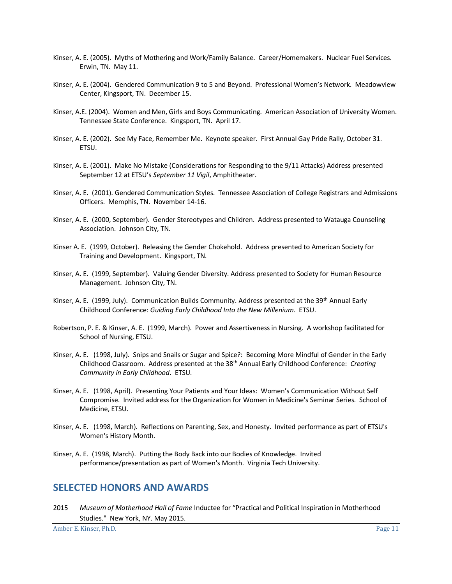- Kinser, A. E. (2005). Myths of Mothering and Work/Family Balance. Career/Homemakers. Nuclear Fuel Services. Erwin, TN. May 11.
- Kinser, A. E. (2004). Gendered Communication 9 to 5 and Beyond. Professional Women's Network. Meadowview Center, Kingsport, TN. December 15.
- Kinser, A.E. (2004). Women and Men, Girls and Boys Communicating. American Association of University Women. Tennessee State Conference. Kingsport, TN. April 17.
- Kinser, A. E. (2002). See My Face, Remember Me. Keynote speaker. First Annual Gay Pride Rally, October 31. ETSU.
- Kinser, A. E. (2001). Make No Mistake (Considerations for Responding to the 9/11 Attacks) Address presented September 12 at ETSU's *September 11 Vigil*, Amphitheater.
- Kinser, A. E. (2001). Gendered Communication Styles. Tennessee Association of College Registrars and Admissions Officers. Memphis, TN. November 14-16.
- Kinser, A. E. (2000, September). Gender Stereotypes and Children. Address presented to Watauga Counseling Association. Johnson City, TN.
- Kinser A. E. (1999, October). Releasing the Gender Chokehold. Address presented to American Society for Training and Development. Kingsport, TN.
- Kinser, A. E. (1999, September). Valuing Gender Diversity. Address presented to Society for Human Resource Management. Johnson City, TN.
- Kinser, A. E. (1999, July). Communication Builds Community. Address presented at the 39<sup>th</sup> Annual Early Childhood Conference: *Guiding Early Childhood Into the New Millenium*. ETSU.
- Robertson, P. E. & Kinser, A. E. (1999, March). Power and Assertiveness in Nursing. A workshop facilitated for School of Nursing, ETSU.
- Kinser, A. E. (1998, July). Snips and Snails or Sugar and Spice?: Becoming More Mindful of Gender in the Early Childhood Classroom. Address presented at the 38th Annual Early Childhood Conference: *Creating Community in Early Childhood*. ETSU.
- Kinser, A. E. (1998, April). Presenting Your Patients and Your Ideas: Women's Communication Without Self Compromise. Invited address for the Organization for Women in Medicine's Seminar Series. School of Medicine, ETSU.
- Kinser, A. E. (1998, March). Reflections on Parenting, Sex, and Honesty. Invited performance as part of ETSU's Women's History Month.
- Kinser, A. E. (1998, March). Putting the Body Back into our Bodies of Knowledge. Invited performance/presentation as part of Women's Month. Virginia Tech University.

#### **SELECTED HONORS AND AWARDS**

2015 *Museum of Motherhood Hall of Fame* Inductee for "Practical and Political Inspiration in Motherhood Studies." New York, NY. May 2015.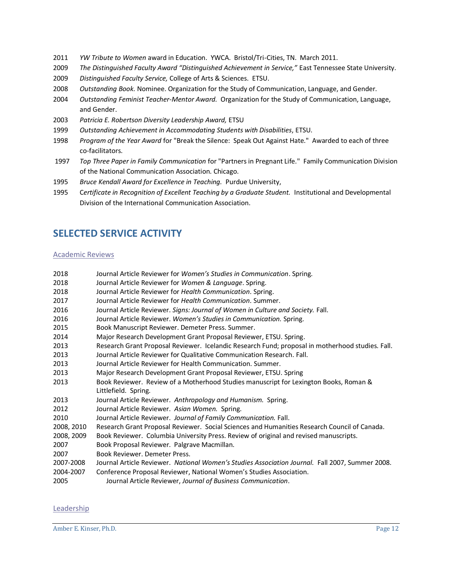- *YW Tribute to Women* award in Education. YWCA. Bristol/Tri-Cities, TN. March 2011.
- *The Distinguished Faculty Award "Distinguished Achievement in Service,"* East Tennessee State University.
- *Distinguished Faculty Service,* College of Arts & Sciences.ETSU.
- *Outstanding Book.* Nominee. Organization for the Study of Communication, Language, and Gender.
- *Outstanding Feminist Teacher-Mentor Award.* Organization for the Study of Communication, Language, and Gender.
- *Patricia E. Robertson Diversity Leadership Award,* ETSU
- *Outstanding Achievement in Accommodating Students with Disabilities*, ETSU.
- *Program of the Year Award* for "Break the Silence: Speak Out Against Hate." Awarded to each of three co-facilitators.
- *Top Three Paper in Family Communication* for "Partners in Pregnant Life." Family Communication Division of the National Communication Association. Chicago.
- *Bruce Kendall Award for Excellence in Teaching.* Purdue University,
- C*ertificate in Recognition of Excellent Teaching by a Graduate Student.* Institutional and Developmental Division of the International Communication Association.

# **SELECTED SERVICE ACTIVITY**

#### Academic Reviews

| 2018       | Journal Article Reviewer for Women's Studies in Communication. Spring.                           |
|------------|--------------------------------------------------------------------------------------------------|
| 2018       | Journal Article Reviewer for Women & Language. Spring.                                           |
| 2018       | Journal Article Reviewer for Health Communication. Spring.                                       |
| 2017       | Journal Article Reviewer for Health Communication, Summer,                                       |
| 2016       | Journal Article Reviewer. Signs: Journal of Women in Culture and Society. Fall.                  |
| 2016       | Journal Article Reviewer. Women's Studies in Communication. Spring.                              |
| 2015       | Book Manuscript Reviewer. Demeter Press. Summer.                                                 |
| 2014       | Major Research Development Grant Proposal Reviewer, ETSU. Spring.                                |
| 2013       | Research Grant Proposal Reviewer. Icelandic Research Fund; proposal in motherhood studies. Fall. |
| 2013       | Journal Article Reviewer for Qualitative Communication Research. Fall.                           |
| 2013       | Journal Article Reviewer for Health Communication, Summer,                                       |
| 2013       | Major Research Development Grant Proposal Reviewer, ETSU. Spring                                 |
| 2013       | Book Reviewer. Review of a Motherhood Studies manuscript for Lexington Books, Roman &            |
|            | Littlefield. Spring.                                                                             |
| 2013       | Journal Article Reviewer. Anthropology and Humanism. Spring.                                     |
| 2012       | Journal Article Reviewer. Asian Women. Spring.                                                   |
| 2010       | Journal Article Reviewer. Journal of Family Communication. Fall.                                 |
| 2008, 2010 | Research Grant Proposal Reviewer. Social Sciences and Humanities Research Council of Canada.     |
| 2008, 2009 | Book Reviewer. Columbia University Press. Review of original and revised manuscripts.            |
| 2007       | Book Proposal Reviewer. Palgrave Macmillan.                                                      |
| 2007       | Book Reviewer, Demeter Press.                                                                    |
| 2007-2008  | Journal Article Reviewer. National Women's Studies Association Journal. Fall 2007, Summer 2008.  |
| 2004-2007  | Conference Proposal Reviewer, National Women's Studies Association.                              |
| 2005       | Journal Article Reviewer, Journal of Business Communication.                                     |
|            |                                                                                                  |

#### **Leadership**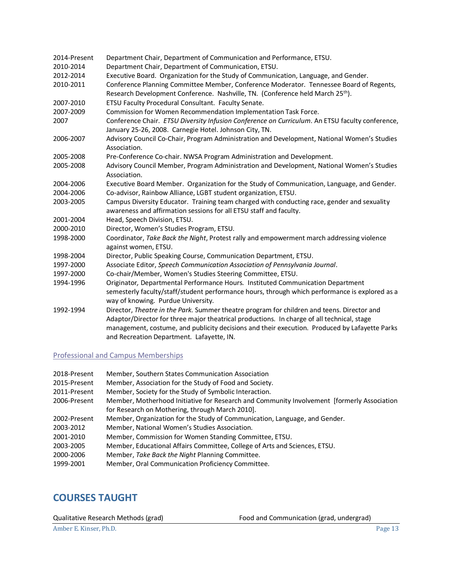| 2014-Present | Department Chair, Department of Communication and Performance, ETSU.                                                                                                                                                                                                                                                                   |
|--------------|----------------------------------------------------------------------------------------------------------------------------------------------------------------------------------------------------------------------------------------------------------------------------------------------------------------------------------------|
| 2010-2014    | Department Chair, Department of Communication, ETSU.                                                                                                                                                                                                                                                                                   |
| 2012-2014    | Executive Board. Organization for the Study of Communication, Language, and Gender.                                                                                                                                                                                                                                                    |
| 2010-2011    | Conference Planning Committee Member, Conference Moderator. Tennessee Board of Regents,                                                                                                                                                                                                                                                |
|              | Research Development Conference. Nashville, TN. (Conference held March 25 <sup>th</sup> ).                                                                                                                                                                                                                                             |
| 2007-2010    | ETSU Faculty Procedural Consultant. Faculty Senate.                                                                                                                                                                                                                                                                                    |
| 2007-2009    | Commission for Women Recommendation Implementation Task Force.                                                                                                                                                                                                                                                                         |
| 2007         | Conference Chair. ETSU Diversity Infusion Conference on Curriculum. An ETSU faculty conference,<br>January 25-26, 2008. Carnegie Hotel. Johnson City, TN.                                                                                                                                                                              |
| 2006-2007    | Advisory Council Co-Chair, Program Administration and Development, National Women's Studies<br>Association.                                                                                                                                                                                                                            |
| 2005-2008    | Pre-Conference Co-chair. NWSA Program Administration and Development.                                                                                                                                                                                                                                                                  |
| 2005-2008    | Advisory Council Member, Program Administration and Development, National Women's Studies<br>Association.                                                                                                                                                                                                                              |
| 2004-2006    | Executive Board Member. Organization for the Study of Communication, Language, and Gender.                                                                                                                                                                                                                                             |
| 2004-2006    | Co-advisor, Rainbow Alliance, LGBT student organization, ETSU.                                                                                                                                                                                                                                                                         |
| 2003-2005    | Campus Diversity Educator. Training team charged with conducting race, gender and sexuality                                                                                                                                                                                                                                            |
|              | awareness and affirmation sessions for all ETSU staff and faculty.                                                                                                                                                                                                                                                                     |
| 2001-2004    | Head, Speech Division, ETSU.                                                                                                                                                                                                                                                                                                           |
| 2000-2010    | Director, Women's Studies Program, ETSU.                                                                                                                                                                                                                                                                                               |
| 1998-2000    | Coordinator, Take Back the Night, Protest rally and empowerment march addressing violence<br>against women, ETSU.                                                                                                                                                                                                                      |
| 1998-2004    | Director, Public Speaking Course, Communication Department, ETSU.                                                                                                                                                                                                                                                                      |
| 1997-2000    | Associate Editor, Speech Communication Association of Pennsylvania Journal.                                                                                                                                                                                                                                                            |
| 1997-2000    | Co-chair/Member, Women's Studies Steering Committee, ETSU.                                                                                                                                                                                                                                                                             |
| 1994-1996    | Originator, Departmental Performance Hours. Instituted Communication Department                                                                                                                                                                                                                                                        |
|              | semesterly faculty/staff/student performance hours, through which performance is explored as a<br>way of knowing. Purdue University.                                                                                                                                                                                                   |
| 1992-1994    | Director, Theatre in the Park. Summer theatre program for children and teens. Director and<br>Adaptor/Director for three major theatrical productions. In charge of all technical, stage<br>management, costume, and publicity decisions and their execution. Produced by Lafayette Parks<br>and Recreation Department. Lafayette, IN. |
|              |                                                                                                                                                                                                                                                                                                                                        |

#### Professional and Campus Memberships

| 2018-Present | Member, Southern States Communication Association                                           |
|--------------|---------------------------------------------------------------------------------------------|
| 2015-Present | Member, Association for the Study of Food and Society.                                      |
| 2011-Present | Member, Society for the Study of Symbolic Interaction.                                      |
| 2006-Present | Member, Motherhood Initiative for Research and Community Involvement [formerly Association] |
|              | for Research on Mothering, through March 2010].                                             |
| 2002-Present | Member, Organization for the Study of Communication, Language, and Gender.                  |
| 2003-2012    | Member, National Women's Studies Association.                                               |
| 2001-2010    | Member, Commission for Women Standing Committee, ETSU.                                      |
| 2003-2005    | Member, Educational Affairs Committee, College of Arts and Sciences, ETSU.                  |
| 2000-2006    | Member, Take Back the Night Planning Committee.                                             |
| 1999-2001    | Member, Oral Communication Proficiency Committee.                                           |

## **COURSES TAUGHT**

Qualitative Research Methods (grad) Food and Communication (grad, undergrad)